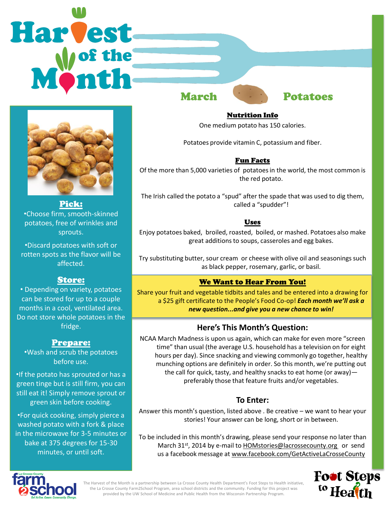# Harvest March **Potatoes**



Pick: •Choose firm, smooth-skinned potatoes, free of wrinkles and sprouts.

•Discard potatoes with soft or rotten spots as the flavor will be affected.

# Store:

• Depending on variety, potatoes can be stored for up to a couple months in a cool, ventilated area. Do not store whole potatoes in the fridge.

# Prepare:

•Wash and scrub the potatoes before use.

•If the potato has sprouted or has a green tinge but is still firm, you can still eat it! Simply remove sprout or green skin before cooking.

•For quick cooking, simply pierce a washed potato with a fork & place in the microwave for 3-5 minutes or bake at 375 degrees for 15-30 minutes, or until soft.

#### Nutrition Info

One medium potato has 150 calories.

Potatoes provide vitamin C, potassium and fiber.

#### Fun Facts

Of the more than 5,000 varieties of potatoes in the world, the most common is the red potato.

The Irish called the potato a "spud" after the spade that was used to dig them, called a "spudder"!

#### Uses

Enjoy potatoes baked, broiled, roasted, boiled, or mashed. Potatoes also make great additions to soups, casseroles and egg bakes.

Try substituting butter, sour cream or cheese with olive oil and seasonings such as black pepper, rosemary, garlic, or basil.

# We Want to Hear From You!

Share your fruit and vegetable tidbits and tales and be entered into a drawing for a \$25 gift certificate to the People's Food Co-op! *Each month we'll ask a new question...and give you a new chance to win!* 

# **Here's This Month's Question:**

NCAA March Madness is upon us again, which can make for even more "screen time" than usual (the average U.S. household has a television on for eight hours per day). Since snacking and viewing commonly go together, healthy munching options are definitely in order. So this month, we're putting out the call for quick, tasty, and healthy snacks to eat home (or away) preferably those that feature fruits and/or vegetables.

# **To Enter:**

Answer this month's question, listed above . Be creative – we want to hear your stories! Your answer can be long, short or in between.

To be included in this month's drawing, please send your response no later than March 31<sup>st</sup>, 2014 by e-mail to **HOMstories@lacrossecounty.org** or send us a facebook message at www.facebook.com/GetActiveLaCrosseCounty





The Harvest of the Month is a partnership between La Crosse County Health Department's Foot Steps to Health initiative, the La Crosse County Farm2School Program, area school districts and the community. Funding for this project was provided by the UW School of Medicine and Public Health from the Wisconsin Partnership Program.